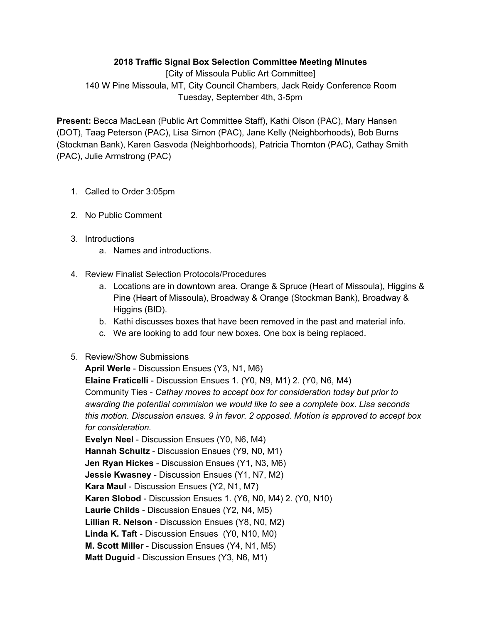## **2018 Traffic Signal Box Selection Committee Meeting Minutes**

[City of Missoula Public Art Committee] 140 W Pine Missoula, MT, City Council Chambers, Jack Reidy Conference Room Tuesday, September 4th, 3-5pm

**Present:** Becca MacLean (Public Art Committee Staff), Kathi Olson (PAC), Mary Hansen (DOT), Taag Peterson (PAC), Lisa Simon (PAC), Jane Kelly (Neighborhoods), Bob Burns (Stockman Bank), Karen Gasvoda (Neighborhoods), Patricia Thornton (PAC), Cathay Smith (PAC), Julie Armstrong (PAC)

- 1. Called to Order 3:05pm
- 2. No Public Comment
- 3. Introductions
	- a. Names and introductions.
- 4. Review Finalist Selection Protocols/Procedures
	- a. Locations are in downtown area. Orange & Spruce (Heart of Missoula), Higgins & Pine (Heart of Missoula), Broadway & Orange (Stockman Bank), Broadway & Higgins (BID).
	- b. Kathi discusses boxes that have been removed in the past and material info.
	- c. We are looking to add four new boxes. One box is being replaced.

## 5. Review/Show Submissions

**April Werle** - Discussion Ensues (Y3, N1, M6)

**Elaine Fraticelli** - Discussion Ensues 1. (Y0, N9, M1) 2. (Y0, N6, M4) Community Ties - *Cathay moves to accept box for consideration today but prior to awarding the potential commision we would like to see a complete box. Lisa seconds this motion. Discussion ensues. 9 in favor. 2 opposed. Motion is approved to accept box for consideration.*

**Evelyn Neel** - Discussion Ensues (Y0, N6, M4) **Hannah Schultz** - Discussion Ensues (Y9, N0, M1) **Jen Ryan Hickes** - Discussion Ensues (Y1, N3, M6) **Jessie Kwasney** - Discussion Ensues (Y1, N7, M2) **Kara Maul** - Discussion Ensues (Y2, N1, M7) **Karen Slobod** - Discussion Ensues 1. (Y6, N0, M4) 2. (Y0, N10) **Laurie Childs** - Discussion Ensues (Y2, N4, M5) **Lillian R. Nelson** - Discussion Ensues (Y8, N0, M2) **Linda K. Taft** - Discussion Ensues (Y0, N10, M0) **M. Scott Miller** - Discussion Ensues (Y4, N1, M5) **Matt Duguid** - Discussion Ensues (Y3, N6, M1)